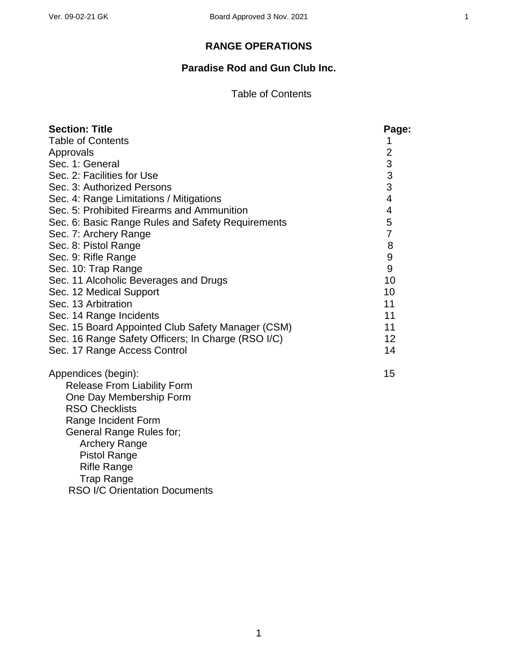### **RANGE OPERATIONS**

# **Paradise Rod and Gun Club Inc.**

#### Table of Contents

| <b>Section: Title</b>                              | Page:                                      |
|----------------------------------------------------|--------------------------------------------|
| <b>Table of Contents</b>                           | 1                                          |
| Approvals                                          | $\overline{2}$                             |
| Sec. 1: General                                    |                                            |
| Sec. 2: Facilities for Use                         | $\begin{array}{c} 3 \\ 3 \\ 3 \end{array}$ |
| Sec. 3: Authorized Persons                         |                                            |
| Sec. 4: Range Limitations / Mitigations            | $\overline{\mathbf{4}}$                    |
| Sec. 5: Prohibited Firearms and Ammunition         | 4                                          |
| Sec. 6: Basic Range Rules and Safety Requirements  | 5                                          |
| Sec. 7: Archery Range                              | $\overline{7}$                             |
| Sec. 8: Pistol Range                               | 8                                          |
| Sec. 9: Rifle Range                                | 9                                          |
| Sec. 10: Trap Range                                | 9                                          |
| Sec. 11 Alcoholic Beverages and Drugs              | 10                                         |
| Sec. 12 Medical Support                            | 10                                         |
| Sec. 13 Arbitration                                | 11                                         |
| Sec. 14 Range Incidents                            | 11                                         |
| Sec. 15 Board Appointed Club Safety Manager (CSM)  | 11                                         |
| Sec. 16 Range Safety Officers; In Charge (RSO I/C) | 12                                         |
| Sec. 17 Range Access Control                       | 14                                         |
| Appendices (begin):                                | 15                                         |
| <b>Release From Liability Form</b>                 |                                            |
| One Day Membership Form                            |                                            |
| <b>RSO Checklists</b>                              |                                            |
| Range Incident Form                                |                                            |
| General Range Rules for;                           |                                            |
| <b>Archery Range</b>                               |                                            |
| <b>Pistol Range</b>                                |                                            |
| <b>Rifle Range</b>                                 |                                            |
| <b>Trap Range</b>                                  |                                            |
| <b>RSO I/C Orientation Documents</b>               |                                            |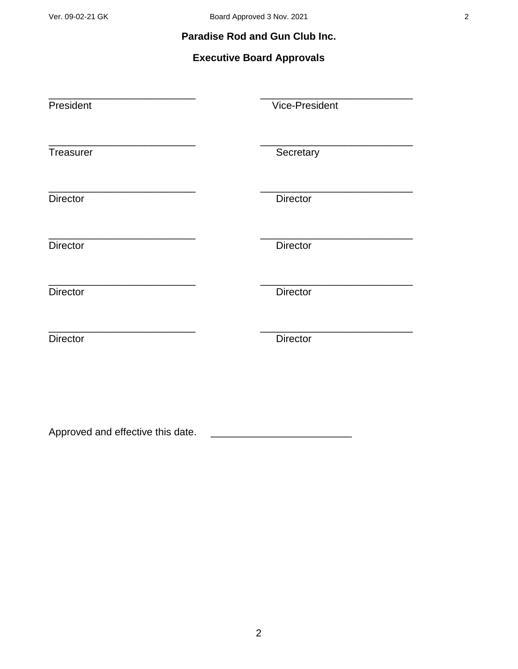### **Paradise Rod and Gun Club Inc.**

# **Executive Board Approvals**

| President       | Vice-President  |
|-----------------|-----------------|
| Treasurer       | Secretary       |
| <b>Director</b> | <b>Director</b> |
| <b>Director</b> | <b>Director</b> |
| <b>Director</b> | <b>Director</b> |
| <b>Director</b> | <b>Director</b> |
|                 |                 |

Approved and effective this date. \_\_\_\_\_\_\_\_\_\_\_\_\_\_\_\_\_\_\_\_\_\_\_\_\_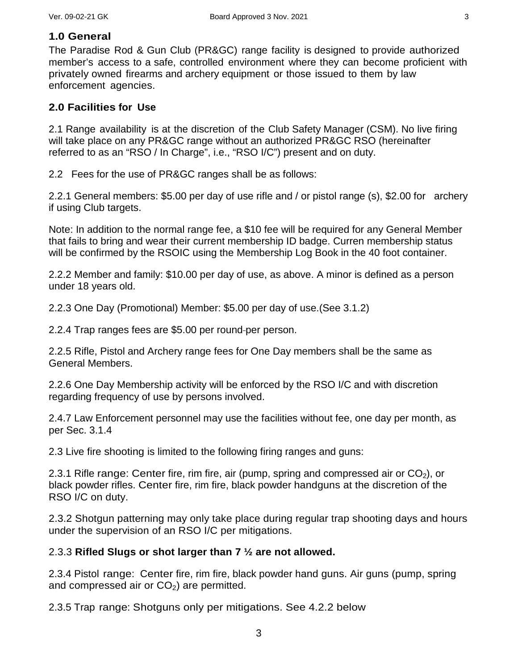#### **1.0 General**

The Paradise Rod & Gun Club (PR&GC) range facility is designed to provide authorized member's access to a safe, controlled environment where they can become proficient with privately owned firearms and archery equipment or those issued to them by law enforcement agencies.

#### **2.0 Facilities for Use**

2.1 Range availability is at the discretion of the Club Safety Manager (CSM). No live firing will take place on any PR&GC range without an authorized PR&GC RSO (hereinafter referred to as an "RSO / In Charge", i.e., "RSO I/C") present and on duty.

2.2 Fees for the use of PR&GC ranges shall be as follows:

2.2.1 General members: \$5.00 per day of use rifle and / or pistol range (s), \$2.00 for archery if using Club targets.

Note: In addition to the normal range fee, a \$10 fee will be required for any General Member that fails to bring and wear their current membership ID badge. Curren membership status will be confirmed by the RSOIC using the Membership Log Book in the 40 foot container.

2.2.2 Member and family: \$10.00 per day of use, as above. A minor is defined as a person under 18 years old.

2.2.3 One Day (Promotional) Member: \$5.00 per day of use.(See 3.1.2)

2.2.4 Trap ranges fees are \$5.00 per round-per person.

2.2.5 Rifle, Pistol and Archery range fees for One Day members shall be the same as General Members.

2.2.6 One Day Membership activity will be enforced by the RSO I/C and with discretion regarding frequency of use by persons involved.

2.4.7 Law Enforcement personnel may use the facilities without fee, one day per month, as per Sec. 3.1.4

2.3 Live fire shooting is limited to the following firing ranges and guns:

2.3.1 Rifle range: Center fire, rim fire, air (pump, spring and compressed air or  $CO<sub>2</sub>$ ), or black powder rifles. Center fire, rim fire, black powder handguns at the discretion of the RSO I/C on duty.

2.3.2 Shotgun patterning may only take place during regular trap shooting days and hours under the supervision of an RSO I/C per mitigations.

#### 2.3.3 **Rifled Slugs or shot larger than 7 ½ are not allowed.**

2.3.4 Pistol range: Center fire, rim fire, black powder hand guns. Air guns (pump, spring and compressed air or  $CO<sub>2</sub>$ ) are permitted.

2.3.5 Trap range: Shotguns only per mitigations. See 4.2.2 below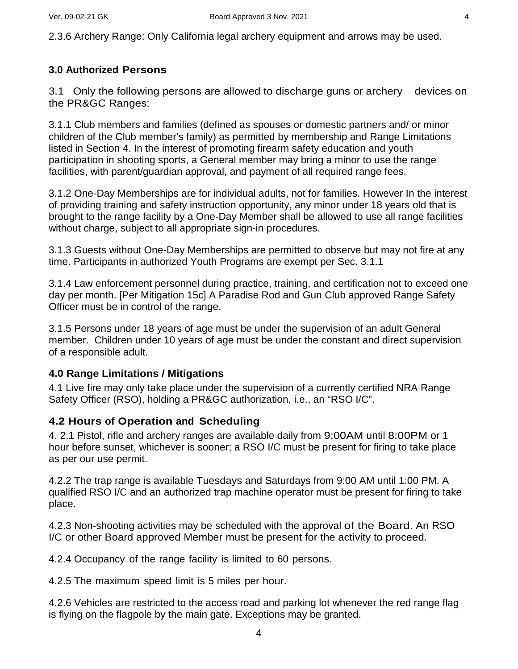2.3.6 Archery Range: Only California legal archery equipment and arrows may be used.

#### **3.0 Authorized Persons**

3.1 Only the following persons are allowed to discharge guns or archery devices on the PR&GC Ranges:

3.1.1 Club members and families (defined as spouses or domestic partners and/ or minor children of the Club member's family) as permitted by membership and Range Limitations listed in Section 4. In the interest of promoting firearm safety education and youth participation in shooting sports, a General member may bring a minor to use the range facilities, with parent/guardian approval, and payment of all required range fees.

3.1.2 One-Day Memberships are for individual adults, not for families. However In the interest of providing training and safety instruction opportunity, any minor under 18 years old that is brought to the range facility by a One-Day Member shall be allowed to use all range facilities without charge, subject to all appropriate sign-in procedures.

3.1.3 Guests without One-Day Memberships are permitted to observe but may not fire at any time. Participants in authorized Youth Programs are exempt per Sec. 3.1.1

3.1.4 Law enforcement personnel during practice, training, and certification not to exceed one day per month. [Per Mitigation 15c] A Paradise Rod and Gun Club approved Range Safety Officer must be in control of the range.

3.1.5 Persons under 18 years of age must be under the supervision of an adult General member. Children under 10 years of age must be under the constant and direct supervision of a responsible adult.

#### **4.0 Range Limitations / Mitigations**

4.1 Live fire may only take place under the supervision of a currently certified NRA Range Safety Officer (RSO), holding a PR&GC authorization, i.e., an "RSO I/C".

#### **4.2 Hours of Operation and Scheduling**

4. 2.1 Pistol, rifle and archery ranges are available daily from 9:00AM until 8:00PM or 1 hour before sunset, whichever is sooner; a RSO I/C must be present for firing to take place as per our use permit.

4.2.2 The trap range is available Tuesdays and Saturdays from 9:00 AM until 1:00 PM. A qualified RSO I/C and an authorized trap machine operator must be present for firing to take place.

4.2.3 Non-shooting activities may be scheduled with the approval of the Board. An RSO I/C or other Board approved Member must be present for the activity to proceed.

4.2.4 Occupancy of the range facility is limited to 60 persons.

4.2.5 The maximum speed limit is 5 miles per hour.

4.2.6 Vehicles are restricted to the access road and parking lot whenever the red range flag is flying on the flagpole by the main gate. Exceptions may be granted.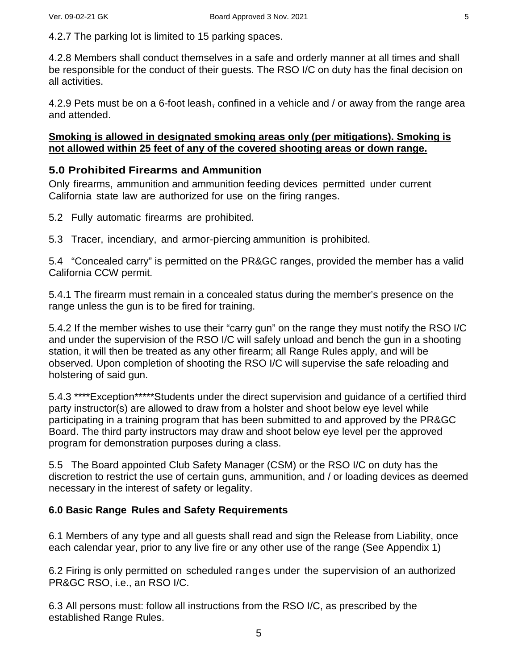4.2.7 The parking lot is limited to 15 parking spaces.

4.2.8 Members shall conduct themselves in a safe and orderly manner at all times and shall be responsible for the conduct of their guests. The RSO I/C on duty has the final decision on all activities.

4.2.9 Pets must be on a 6-foot leash, confined in a vehicle and / or away from the range area and attended.

#### **Smoking is allowed in designated smoking areas only (per mitigations). Smoking is not allowed within 25 feet of any of the covered shooting areas or down range.**

### **5.0 Prohibited Firearms and Ammunition**

Only firearms, ammunition and ammunition feeding devices permitted under current California state law are authorized for use on the firing ranges.

5.2 Fully automatic firearms are prohibited.

5.3 Tracer, incendiary, and armor-piercing ammunition is prohibited.

5.4 "Concealed carry" is permitted on the PR&GC ranges, provided the member has a valid California CCW permit.

5.4.1 The firearm must remain in a concealed status during the member's presence on the range unless the gun is to be fired for training.

5.4.2 If the member wishes to use their "carry gun" on the range they must notify the RSO I/C and under the supervision of the RSO I/C will safely unload and bench the gun in a shooting station, it will then be treated as any other firearm; all Range Rules apply, and will be observed. Upon completion of shooting the RSO I/C will supervise the safe reloading and holstering of said gun.

5.4.3 \*\*\*\*Exception\*\*\*\*\*Students under the direct supervision and guidance of a certified third party instructor(s) are allowed to draw from a holster and shoot below eye level while participating in a training program that has been submitted to and approved by the PR&GC Board. The third party instructors may draw and shoot below eye level per the approved program for demonstration purposes during a class.

5.5 The Board appointed Club Safety Manager (CSM) or the RSO I/C on duty has the discretion to restrict the use of certain guns, ammunition, and / or loading devices as deemed necessary in the interest of safety or legality.

### **6.0 Basic Range Rules and Safety Requirements**

6.1 Members of any type and all guests shall read and sign the Release from Liability, once each calendar year, prior to any live fire or any other use of the range (See Appendix 1)

6.2 Firing is only permitted on scheduled ranges under the supervision of an authorized PR&GC RSO, i.e., an RSO I/C.

6.3 All persons must: follow all instructions from the RSO I/C, as prescribed by the established Range Rules.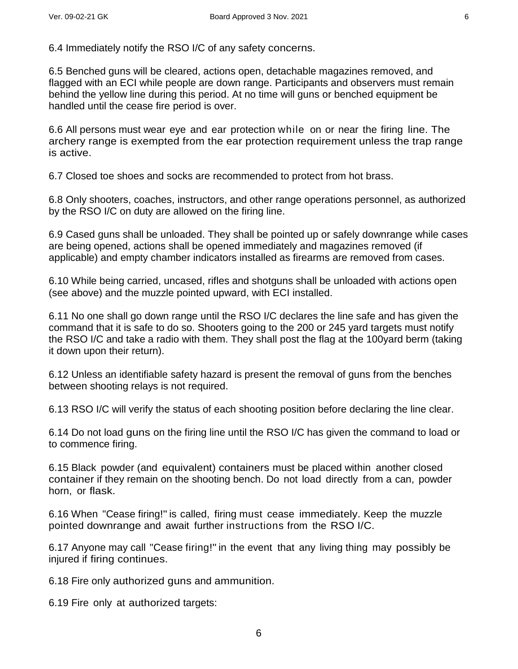6.4 Immediately notify the RSO I/C of any safety concerns.

6.5 Benched guns will be cleared, actions open, detachable magazines removed, and flagged with an ECI while people are down range. Participants and observers must remain behind the yellow line during this period. At no time will guns or benched equipment be handled until the cease fire period is over.

6.6 All persons must wear eye and ear protection while on or near the firing line. The archery range is exempted from the ear protection requirement unless the trap range is active.

6.7 Closed toe shoes and socks are recommended to protect from hot brass.

6.8 Only shooters, coaches, instructors, and other range operations personnel, as authorized by the RSO I/C on duty are allowed on the firing line.

6.9 Cased guns shall be unloaded. They shall be pointed up or safely downrange while cases are being opened, actions shall be opened immediately and magazines removed (if applicable) and empty chamber indicators installed as firearms are removed from cases.

6.10 While being carried, uncased, rifles and shotguns shall be unloaded with actions open (see above) and the muzzle pointed upward, with ECI installed.

6.11 No one shall go down range until the RSO I/C declares the line safe and has given the command that it is safe to do so. Shooters going to the 200 or 245 yard targets must notify the RSO I/C and take a radio with them. They shall post the flag at the 100yard berm (taking it down upon their return).

6.12 Unless an identifiable safety hazard is present the removal of guns from the benches between shooting relays is not required.

6.13 RSO I/C will verify the status of each shooting position before declaring the line clear.

6.14 Do not load guns on the firing line until the RSO I/C has given the command to load or to commence firing.

6.15 Black powder (and equivalent) containers must be placed within another closed container if they remain on the shooting bench. Do not load directly from a can, powder horn, or flask.

6.16 When "Cease firing!" is called, firing must cease immediately. Keep the muzzle pointed downrange and await further instructions from the RSO I/C.

6.17 Anyone may call "Cease firing!" in the event that any living thing may possibly be injured if firing continues.

6.18 Fire only authorized guns and ammunition.

6.19 Fire only at authorized targets: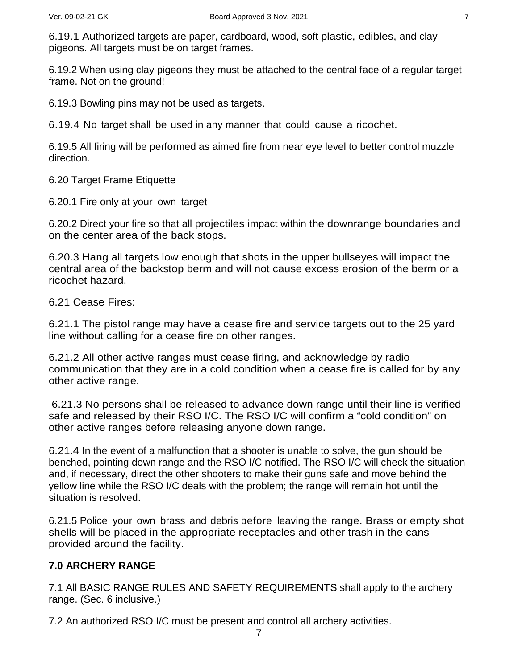6.19.1 Authorized targets are paper, cardboard, wood, soft plastic, edibles, and clay pigeons. All targets must be on target frames.

6.19.2 When using clay pigeons they must be attached to the central face of a regular target frame. Not on the ground!

6.19.3 Bowling pins may not be used as targets.

6.19.4 No target shall be used in any manner that could cause a ricochet.

6.19.5 All firing will be performed as aimed fire from near eye level to better control muzzle direction.

6.20 Target Frame Etiquette

6.20.1 Fire only at your own target

6.20.2 Direct your fire so that all projectiles impact within the downrange boundaries and on the center area of the back stops.

6.20.3 Hang all targets low enough that shots in the upper bullseyes will impact the central area of the backstop berm and will not cause excess erosion of the berm or a ricochet hazard.

6.21 Cease Fires:

6.21.1 The pistol range may have a cease fire and service targets out to the 25 yard line without calling for a cease fire on other ranges.

6.21.2 All other active ranges must cease firing, and acknowledge by radio communication that they are in a cold condition when a cease fire is called for by any other active range.

6.21.3 No persons shall be released to advance down range until their line is verified safe and released by their RSO I/C. The RSO I/C will confirm a "cold condition" on other active ranges before releasing anyone down range.

6.21.4 In the event of a malfunction that a shooter is unable to solve, the gun should be benched, pointing down range and the RSO I/C notified. The RSO I/C will check the situation and, if necessary, direct the other shooters to make their guns safe and move behind the yellow line while the RSO I/C deals with the problem; the range will remain hot until the situation is resolved.

6.21.5 Police your own brass and debris before leaving the range. Brass or empty shot shells will be placed in the appropriate receptacles and other trash in the cans provided around the facility.

#### **7.0 ARCHERY RANGE**

7.1 All BASIC RANGE RULES AND SAFETY REQUIREMENTS shall apply to the archery range. (Sec. 6 inclusive.)

7.2 An authorized RSO I/C must be present and control all archery activities.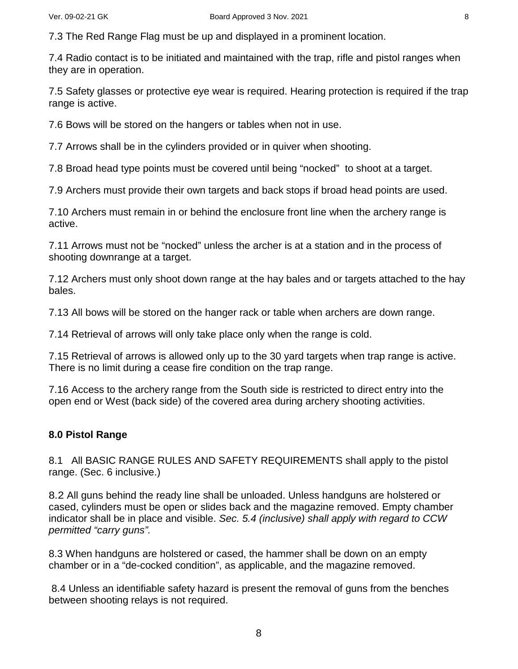7.3 The Red Range Flag must be up and displayed in a prominent location.

7.4 Radio contact is to be initiated and maintained with the trap, rifle and pistol ranges when they are in operation.

7.5 Safety glasses or protective eye wear is required. Hearing protection is required if the trap range is active.

7.6 Bows will be stored on the hangers or tables when not in use.

7.7 Arrows shall be in the cylinders provided or in quiver when shooting.

7.8 Broad head type points must be covered until being "nocked" to shoot at a target.

7.9 Archers must provide their own targets and back stops if broad head points are used.

7.10 Archers must remain in or behind the enclosure front line when the archery range is active.

7.11 Arrows must not be "nocked" unless the archer is at a station and in the process of shooting downrange at a target.

7.12 Archers must only shoot down range at the hay bales and or targets attached to the hay bales.

7.13 All bows will be stored on the hanger rack or table when archers are down range.

7.14 Retrieval of arrows will only take place only when the range is cold.

7.15 Retrieval of arrows is allowed only up to the 30 yard targets when trap range is active. There is no limit during a cease fire condition on the trap range.

7.16 Access to the archery range from the South side is restricted to direct entry into the open end or West (back side) of the covered area during archery shooting activities.

#### **8.0 Pistol Range**

8.1 All BASIC RANGE RULES AND SAFETY REQUIREMENTS shall apply to the pistol range. (Sec. 6 inclusive.)

8.2 All guns behind the ready line shall be unloaded. Unless handguns are holstered or cased, cylinders must be open or slides back and the magazine removed. Empty chamber indicator shall be in place and visible. *Sec. 5.4 (inclusive) shall apply with regard to CCW permitted "carry guns".* 

8.3 When handguns are holstered or cased, the hammer shall be down on an empty chamber or in a "de-cocked condition", as applicable, and the magazine removed.

8.4 Unless an identifiable safety hazard is present the removal of guns from the benches between shooting relays is not required.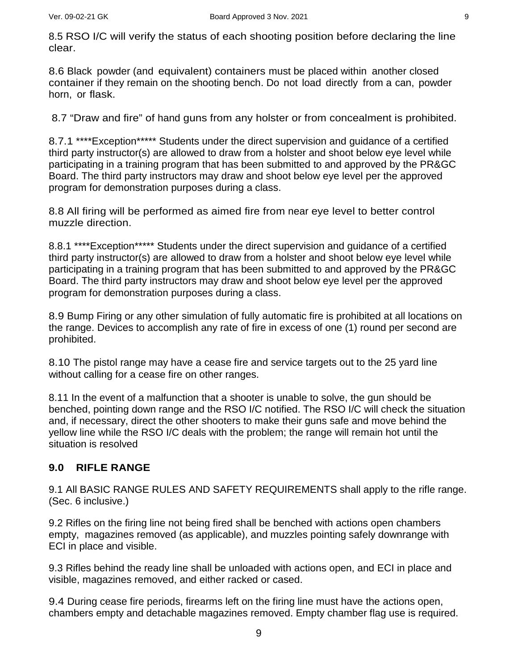8.5 RSO I/C will verify the status of each shooting position before declaring the line clear.

8.6 Black powder (and equivalent) containers must be placed within another closed container if they remain on the shooting bench. Do not load directly from a can, powder horn, or flask.

8.7 "Draw and fire" of hand guns from any holster or from concealment is prohibited.

8.7.1 \*\*\*\*Exception\*\*\*\*\* Students under the direct supervision and guidance of a certified third party instructor(s) are allowed to draw from a holster and shoot below eye level while participating in a training program that has been submitted to and approved by the PR&GC Board. The third party instructors may draw and shoot below eye level per the approved program for demonstration purposes during a class.

8.8 All firing will be performed as aimed fire from near eye level to better control muzzle direction.

8.8.1 \*\*\*\*Exception\*\*\*\*\* Students under the direct supervision and guidance of a certified third party instructor(s) are allowed to draw from a holster and shoot below eye level while participating in a training program that has been submitted to and approved by the PR&GC Board. The third party instructors may draw and shoot below eye level per the approved program for demonstration purposes during a class.

8.9 Bump Firing or any other simulation of fully automatic fire is prohibited at all locations on the range. Devices to accomplish any rate of fire in excess of one (1) round per second are prohibited.

8.10 The pistol range may have a cease fire and service targets out to the 25 yard line without calling for a cease fire on other ranges.

8.11 In the event of a malfunction that a shooter is unable to solve, the gun should be benched, pointing down range and the RSO I/C notified. The RSO I/C will check the situation and, if necessary, direct the other shooters to make their guns safe and move behind the yellow line while the RSO I/C deals with the problem; the range will remain hot until the situation is resolved

### **9.0 RIFLE RANGE**

9.1 All BASIC RANGE RULES AND SAFETY REQUIREMENTS shall apply to the rifle range. (Sec. 6 inclusive.)

9.2 Rifles on the firing line not being fired shall be benched with actions open chambers empty, magazines removed (as applicable), and muzzles pointing safely downrange with ECI in place and visible.

9.3 Rifles behind the ready line shall be unloaded with actions open, and ECI in place and visible, magazines removed, and either racked or cased.

9.4 During cease fire periods, firearms left on the firing line must have the actions open, chambers empty and detachable magazines removed. Empty chamber flag use is required.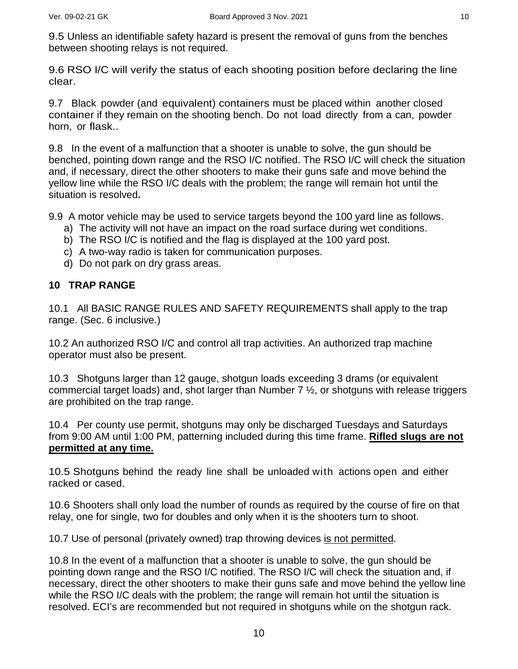9.5 Unless an identifiable safety hazard is present the removal of guns from the benches between shooting relays is not required.

9.6 RSO I/C will verify the status of each shooting position before declaring the line clear.

9.7 Black powder (and equivalent) containers must be placed within another closed container if they remain on the shooting bench. Do not load directly from a can, powder horn, or flask..

9.8 In the event of a malfunction that a shooter is unable to solve, the gun should be benched, pointing down range and the RSO I/C notified. The RSO I/C will check the situation and, if necessary, direct the other shooters to make their guns safe and move behind the yellow line while the RSO I/C deals with the problem; the range will remain hot until the situation is resolved**.**

9.9 A motor vehicle may be used to service targets beyond the 100 yard line as follows.

- a) The activity will not have an impact on the road surface during wet conditions.
- b) The RSO I/C is notified and the flag is displayed at the 100 yard post.
- c) A two-way radio is taken for communication purposes.
- d) Do not park on dry grass areas.

#### **10 TRAP RANGE**

10.1 All BASIC RANGE RULES AND SAFETY REQUIREMENTS shall apply to the trap range. (Sec. 6 inclusive.)

10.2 An authorized RSO I/C and control all trap activities. An authorized trap machine operator must also be present.

10.3 Shotguns larger than 12 gauge, shotgun loads exceeding 3 drams (or equivalent commercial target loads) and, shot larger than Number  $7\frac{1}{2}$ , or shotguns with release triggers are prohibited on the trap range.

10.4 Per county use permit, shotguns may only be discharged Tuesdays and Saturdays from 9:00 AM until 1:00 PM, patterning included during this time frame. **Rifled slugs are not permitted at any time.**

10.5 Shotguns behind the ready line shall be unloaded with actions open and either racked or cased.

10.6 Shooters shall only load the number of rounds as required by the course of fire on that relay, one for single, two for doubles and only when it is the shooters turn to shoot.

10.7 Use of personal (privately owned) trap throwing devices is not permitted.

10.8 In the event of a malfunction that a shooter is unable to solve, the gun should be pointing down range and the RSO I/C notified. The RSO I/C will check the situation and, if necessary, direct the other shooters to make their guns safe and move behind the yellow line while the RSO I/C deals with the problem; the range will remain hot until the situation is resolved. ECI's are recommended but not required in shotguns while on the shotgun rack.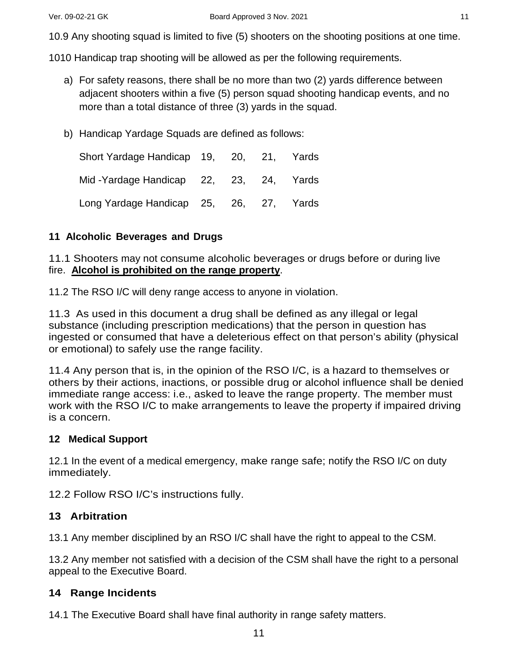10.9 Any shooting squad is limited to five (5) shooters on the shooting positions at one time.

1010 Handicap trap shooting will be allowed as per the following requirements.

- a) For safety reasons, there shall be no more than two (2) yards difference between adjacent shooters within a five (5) person squad shooting handicap events, and no more than a total distance of three (3) yards in the squad.
- b) Handicap Yardage Squads are defined as follows:

Short Yardage Handicap 19, 20, 21, Yards Mid -Yardage Handicap 22, 23, 24, Yards Long Yardage Handicap 25, 26, 27, Yards

#### **11 Alcoholic Beverages and Drugs**

11.1 Shooters may not consume alcoholic beverages or drugs before or during live fire. **Alcohol is prohibited on the range property** .

11.2 The RSO I/C will deny range access to anyone in violation.

11.3 As used in this document a drug shall be defined as any illegal or legal substance (including prescription medications) that the person in question has ingested or consumed that have a deleterious effect on that person's ability (physical or emotional) to safely use the range facility.

11.4 Any person that is, in the opinion of the RSO I/C, is a hazard to themselves or others by their actions, inactions, or possible drug or alcohol influence shall be denied immediate range access: i.e., asked to leave the range property. The member must work with the RSO I/C to make arrangements to leave the property if impaired driving is a concern.

#### **12 Medical Support**

12.1 In the event of a medical emergency, make range safe; notify the RSO I/C on duty immediately.

12.2 Follow RSO I/C's instructions fully.

### **13 Arbitration**

13.1 Any member disciplined by an RSO I/C shall have the right to appeal to the CSM.

13.2 Any member not satisfied with a decision of the CSM shall have the right to a personal appeal to the Executive Board.

#### **14 Range Incidents**

14.1 The Executive Board shall have final authority in range safety matters.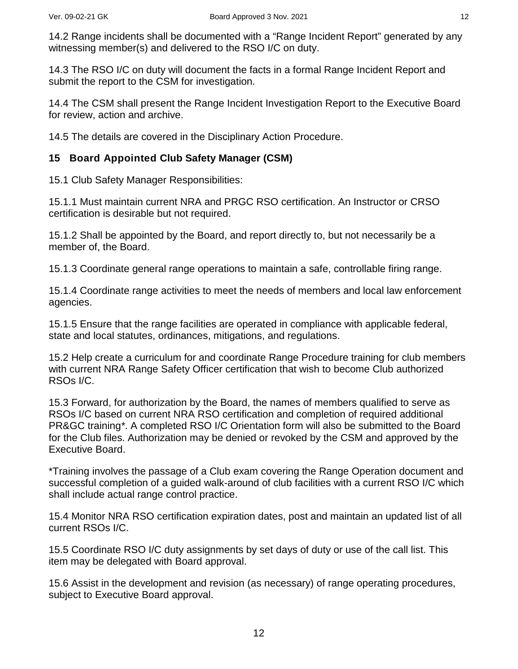14.2 Range incidents shall be documented with a "Range Incident Report" generated by any witnessing member(s) and delivered to the RSO I/C on duty.

14.3 The RSO I/C on duty will document the facts in a formal Range Incident Report and submit the report to the CSM for investigation.

14.4 The CSM shall present the Range Incident Investigation Report to the Executive Board for review, action and archive.

14.5 The details are covered in the Disciplinary Action Procedure.

#### **15 Board Appointed Club Safety Manager (CSM)**

15.1 Club Safety Manager Responsibilities:

15.1.1 Must maintain current NRA and PRGC RSO certification. An Instructor or CRSO certification is desirable but not required.

15.1.2 Shall be appointed by the Board, and report directly to, but not necessarily be a member of, the Board.

15.1.3 Coordinate general range operations to maintain a safe, controllable firing range.

15.1.4 Coordinate range activities to meet the needs of members and local law enforcement agencies.

15.1.5 Ensure that the range facilities are operated in compliance with applicable federal, state and local statutes, ordinances, mitigations, and regulations.

15.2 Help create a curriculum for and coordinate Range Procedure training for club members with current NRA Range Safety Officer certification that wish to become Club authorized RSOs I/C.

15.3 Forward, for authorization by the Board, the names of members qualified to serve as RSOs I/C based on current NRA RSO certification and completion of required additional PR&GC training*\**. A completed RSO I/C Orientation form will also be submitted to the Board for the Club files. Authorization may be denied or revoked by the CSM and approved by the Executive Board.

\*Training involves the passage of a Club exam covering the Range Operation document and successful completion of a guided walk-around of club facilities with a current RSO I/C which shall include actual range control practice.

15.4 Monitor NRA RSO certification expiration dates, post and maintain an updated list of all current RSOs I/C.

15.5 Coordinate RSO I/C duty assignments by set days of duty or use of the call list. This item may be delegated with Board approval.

15.6 Assist in the development and revision (as necessary) of range operating procedures, subject to Executive Board approval.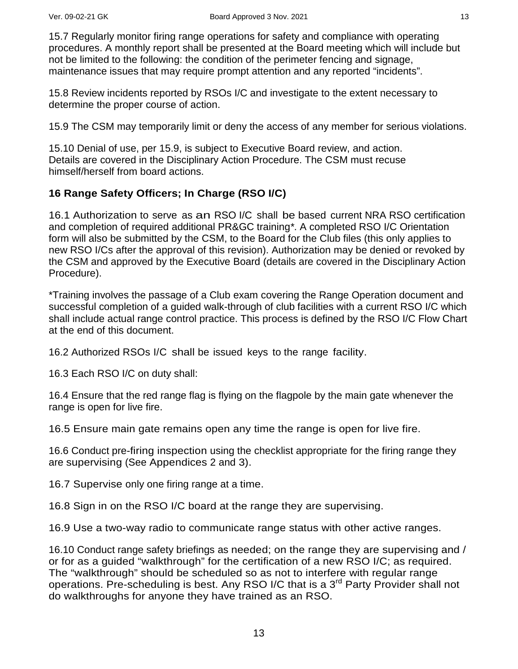15.7 Regularly monitor firing range operations for safety and compliance with operating procedures. A monthly report shall be presented at the Board meeting which will include but not be limited to the following: the condition of the perimeter fencing and signage, maintenance issues that may require prompt attention and any reported "incidents".

15.8 Review incidents reported by RSOs I/C and investigate to the extent necessary to determine the proper course of action.

15.9 The CSM may temporarily limit or deny the access of any member for serious violations.

15.10 Denial of use, per 15.9, is subject to Executive Board review, and action. Details are covered in the Disciplinary Action Procedure. The CSM must recuse himself/herself from board actions.

### **16 Range Safety Officers; In Charge (RSO I/C)**

16.1 Authorization to serve as an RSO I/C shall be based current NRA RSO certification and completion of required additional PR&GC training*\**. A completed RSO I/C Orientation form will also be submitted by the CSM, to the Board for the Club files (this only applies to new RSO I/Cs after the approval of this revision). Authorization may be denied or revoked by the CSM and approved by the Executive Board (details are covered in the Disciplinary Action Procedure).

\*Training involves the passage of a Club exam covering the Range Operation document and successful completion of a guided walk-through of club facilities with a current RSO I/C which shall include actual range control practice. This process is defined by the RSO I/C Flow Chart at the end of this document.

16.2 Authorized RSOs I/C shall be issued keys to the range facility.

16.3 Each RSO I/C on duty shall:

16.4 Ensure that the red range flag is flying on the flagpole by the main gate whenever the range is open for live fire.

16.5 Ensure main gate remains open any time the range is open for live fire.

16.6 Conduct pre-firing inspection using the checklist appropriate for the firing range they are supervising (See Appendices 2 and 3).

16.7 Supervise only one firing range at a time.

16.8 Sign in on the RSO I/C board at the range they are supervising.

16.9 Use a two-way radio to communicate range status with other active ranges.

16.10 Conduct range safety briefings as needed; on the range they are supervising and / or for as a guided "walkthrough" for the certification of a new RSO I/C; as required. The "walkthrough" should be scheduled so as not to interfere with regular range operations. Pre-scheduling is best. Any RSO I/C that is a 3<sup>rd</sup> Party Provider shall not do walkthroughs for anyone they have trained as an RSO.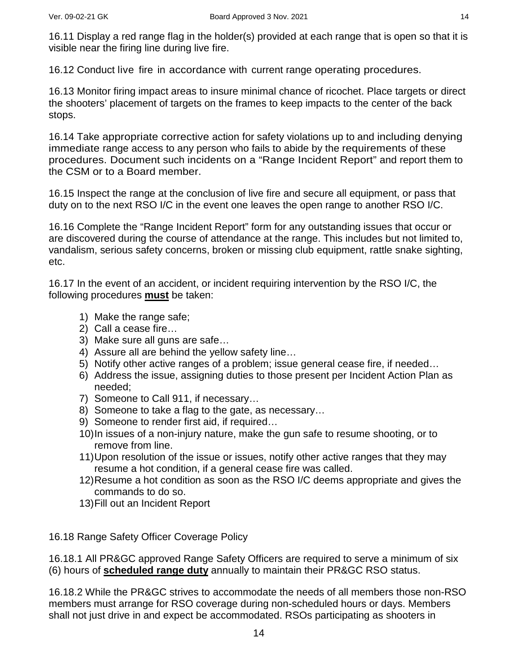16.11 Display a red range flag in the holder(s) provided at each range that is open so that it is visible near the firing line during live fire.

16.12 Conduct live fire in accordance with current range operating procedures.

16.13 Monitor firing impact areas to insure minimal chance of ricochet. Place targets or direct the shooters' placement of targets on the frames to keep impacts to the center of the back stops.

16.14 Take appropriate corrective action for safety violations up to and including denying immediate range access to any person who fails to abide by the requirements of these procedures. Document such incidents on a "Range Incident Report" and report them to the CSM or to a Board member.

16.15 Inspect the range at the conclusion of live fire and secure all equipment, or pass that duty on to the next RSO I/C in the event one leaves the open range to another RSO I/C.

16.16 Complete the "Range Incident Report" form for any outstanding issues that occur or are discovered during the course of attendance at the range. This includes but not limited to, vandalism, serious safety concerns, broken or missing club equipment, rattle snake sighting, etc.

16.17 In the event of an accident, or incident requiring intervention by the RSO I/C, the following procedures **must** be taken:

- 1) Make the range safe;
- 2) Call a cease fire…
- 3) Make sure all guns are safe…
- 4) Assure all are behind the yellow safety line…
- 5) Notify other active ranges of a problem; issue general cease fire, if needed…
- 6) Address the issue, assigning duties to those present per Incident Action Plan as needed;
- 7) Someone to Call 911, if necessary…
- 8) Someone to take a flag to the gate, as necessary…
- 9) Someone to render first aid, if required…
- 10)In issues of a non-injury nature, make the gun safe to resume shooting, or to remove from line.
- 11)Upon resolution of the issue or issues, notify other active ranges that they may resume a hot condition, if a general cease fire was called.
- 12)Resume a hot condition as soon as the RSO I/C deems appropriate and gives the commands to do so.
- 13)Fill out an Incident Report

16.18 Range Safety Officer Coverage Policy

16.18.1 All PR&GC approved Range Safety Officers are required to serve a minimum of six (6) hours of **scheduled range duty** annually to maintain their PR&GC RSO status.

16.18.2 While the PR&GC strives to accommodate the needs of all members those non-RSO members must arrange for RSO coverage during non-scheduled hours or days. Members shall not just drive in and expect be accommodated. RSOs participating as shooters in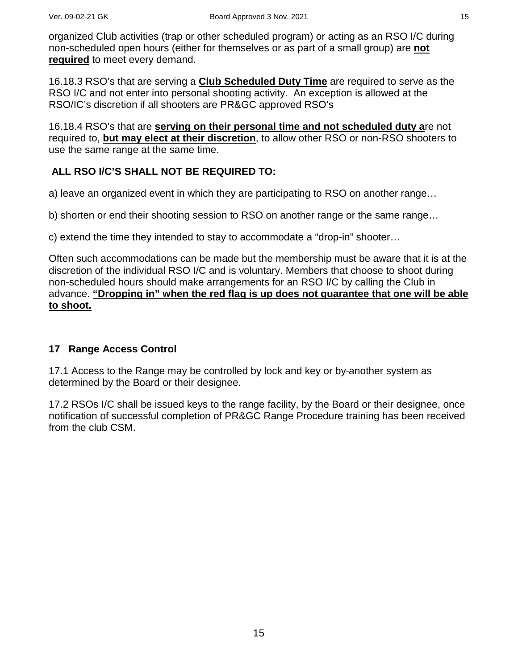organized Club activities (trap or other scheduled program) or acting as an RSO I/C during non-scheduled open hours (either for themselves or as part of a small group) are **not required** to meet every demand.

16.18.3 RSO's that are serving a **Club Scheduled Duty Time** are required to serve as the RSO I/C and not enter into personal shooting activity. An exception is allowed at the RSO/IC's discretion if all shooters are PR&GC approved RSO's

16.18.4 RSO's that are **serving on their personal time and not scheduled duty a**re not required to, **but may elect at their discretion** , to allow other RSO or non-RSO shooters to use the same range at the same time.

### **ALL RSO I/C'S SHALL NOT BE REQUIRED TO:**

a) leave an organized event in which they are participating to RSO on another range…

b) shorten or end their shooting session to RSO on another range or the same range…

c) extend the time they intended to stay to accommodate a "drop-in" shooter…

Often such accommodations can be made but the membership must be aware that it is at the discretion of the individual RSO I/C and is voluntary. Members that choose to shoot during non-scheduled hours should make arrangements for an RSO I/C by calling the Club in advance. **"Dropping in" when the red flag is up does not guarantee that one will be able to shoot.**

#### **17 Range Access Control**

17.1 Access to the Range may be controlled by lock and key or by-another system as determined by the Board or their designee.

17.2 RSOs I/C shall be issued keys to the range facility, by the Board or their designee, once notification of successful completion of PR&GC Range Procedure training has been received from the club CSM.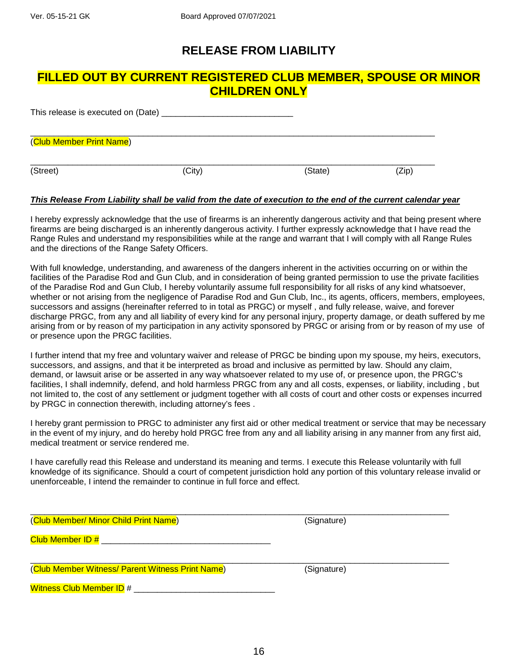# **RELEASE FROM LIABILITY**

### **FILLED OUT BY CURRENT REGISTERED CLUB MEMBER, SPOUSE OR MINOR CHILDREN ONLY**

| This release is executed on (Date) |        |         |       |  |
|------------------------------------|--------|---------|-------|--|
| (Club Member Print Name)           |        |         |       |  |
| (Street)                           | (City) | (State) | (Zip) |  |

#### *This Release From Liability shall be valid from the date of execution to the end of the current calendar year*

I hereby expressly acknowledge that the use of firearms is an inherently dangerous activity and that being present where firearms are being discharged is an inherently dangerous activity. I further expressly acknowledge that I have read the Range Rules and understand my responsibilities while at the range and warrant that I will comply with all Range Rules and the directions of the Range Safety Officers.

With full knowledge, understanding, and awareness of the dangers inherent in the activities occurring on or within the facilities of the Paradise Rod and Gun Club, and in consideration of being granted permission to use the private facilities of the Paradise Rod and Gun Club, I hereby voluntarily assume full responsibility for all risks of any kind whatsoever, whether or not arising from the negligence of Paradise Rod and Gun Club, Inc., its agents, officers, members, employees, successors and assigns (hereinafter referred to in total as PRGC) or myself , and fully release, waive, and forever discharge PRGC, from any and all liability of every kind for any personal injury, property damage, or death suffered by me arising from or by reason of my participation in any activity sponsored by PRGC or arising from or by reason of my use of or presence upon the PRGC facilities.

I further intend that my free and voluntary waiver and release of PRGC be binding upon my spouse, my heirs, executors, successors, and assigns, and that it be interpreted as broad and inclusive as permitted by law. Should any claim, demand, or lawsuit arise or be asserted in any way whatsoever related to my use of, or presence upon, the PRGC's facilities, I shall indemnify, defend, and hold harmless PRGC from any and all costs, expenses, or liability, including , but not limited to, the cost of any settlement or judgment together with all costs of court and other costs or expenses incurred by PRGC in connection therewith, including attorney's fees .

I hereby grant permission to PRGC to administer any first aid or other medical treatment or service that may be necessary in the event of my injury, and do hereby hold PRGC free from any and all liability arising in any manner from any first aid, medical treatment or service rendered me.

I have carefully read this Release and understand its meaning and terms. I execute this Release voluntarily with full knowledge of its significance. Should a court of competent jurisdiction hold any portion of this voluntary release invalid or unenforceable, I intend the remainder to continue in full force and effect.

| (Club Member/ Minor Child Print Name)            | (Signature) |  |
|--------------------------------------------------|-------------|--|
| Club Member ID #                                 |             |  |
| (Club Member Witness/ Parent Witness Print Name) | (Signature) |  |
| <b>Witness Club Member ID #</b>                  |             |  |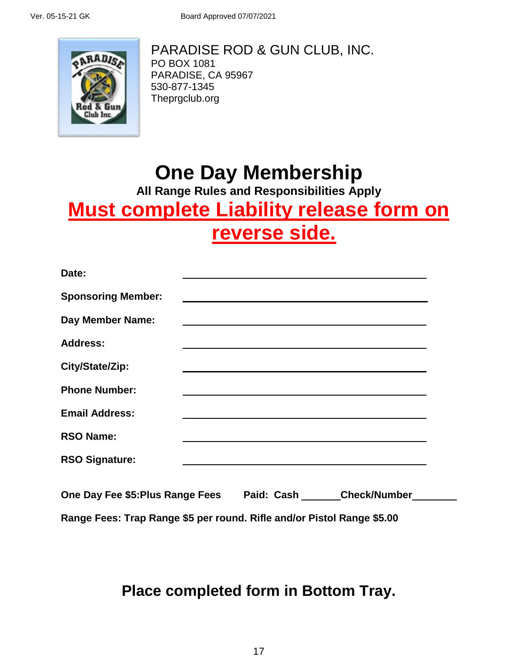

PARADISE ROD & GUN CLUB, INC. PO BOX 1081 PARADISE, CA 95967 530-877-1345 Theprgclub.org

# **One Day Membership**

**All Range Rules and Responsibilities Apply**

# **Must complete Liability release form on reverse side.**

| Date:                            |                                                                                                                       |                         |  |
|----------------------------------|-----------------------------------------------------------------------------------------------------------------------|-------------------------|--|
| <b>Sponsoring Member:</b>        |                                                                                                                       |                         |  |
| <b>Day Member Name:</b>          |                                                                                                                       |                         |  |
| <b>Address:</b>                  |                                                                                                                       |                         |  |
| City/State/Zip:                  |                                                                                                                       |                         |  |
| <b>Phone Number:</b>             | <u> 1989 - Johann Harry Barn, mars ar breist ar breist ar breist ar breist ar breist ar breist ar breist ar breis</u> |                         |  |
| <b>Email Address:</b>            |                                                                                                                       |                         |  |
| <b>RSO Name:</b>                 |                                                                                                                       |                         |  |
| <b>RSO Signature:</b>            |                                                                                                                       |                         |  |
| One Day Fee \$5: Plus Range Fees |                                                                                                                       | Paid: Cash Check/Number |  |

**Range Fees: Trap Range \$5 per round. Rifle and/or Pistol Range \$5.00**

**Place completed form in Bottom Tray.**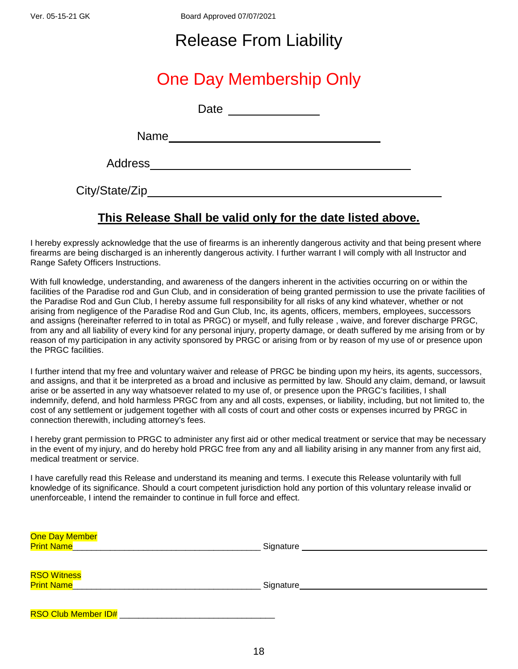Ver. 05-15-21 GK Board Approved 07/07/2021

# Release From Liability

# One Day Membership Only

Date and the state of the state of the state of the state of the state of the state of the state of the state of the state of the state of the state of the state of the state of the state of the state of the state of the s

Name with the contract of the contract of the contract of the contract of the contract of the contract of the contract of the contract of the contract of the contract of the contract of the contract of the contract of the

Address

City/State/Zip

# **This Release Shall be valid only for the date listed above.**

I hereby expressly acknowledge that the use of firearms is an inherently dangerous activity and that being present where firearms are being discharged is an inherently dangerous activity. I further warrant I will comply with all Instructor and Range Safety Officers Instructions.

With full knowledge, understanding, and awareness of the dangers inherent in the activities occurring on or within the facilities of the Paradise rod and Gun Club, and in consideration of being granted permission to use the private facilities of the Paradise Rod and Gun Club, I hereby assume full responsibility for all risks of any kind whatever, whether or not arising from negligence of the Paradise Rod and Gun Club, Inc, its agents, officers, members, employees, successors and assigns (hereinafter referred to in total as PRGC) or myself, and fully release , waive, and forever discharge PRGC, from any and all liability of every kind for any personal injury, property damage, or death suffered by me arising from or by reason of my participation in any activity sponsored by PRGC or arising from or by reason of my use of or presence upon the PRGC facilities.

I further intend that my free and voluntary waiver and release of PRGC be binding upon my heirs, its agents, successors, and assigns, and that it be interpreted as a broad and inclusive as permitted by law. Should any claim, demand, or lawsuit arise or be asserted in any way whatsoever related to my use of, or presence upon the PRGC's facilities, I shall indemnify, defend, and hold harmless PRGC from any and all costs, expenses, or liability, including, but not limited to, the cost of any settlement or judgement together with all costs of court and other costs or expenses incurred by PRGC in connection therewith, including attorney's fees.

I hereby grant permission to PRGC to administer any first aid or other medical treatment or service that may be necessary in the event of my injury, and do hereby hold PRGC free from any and all liability arising in any manner from any first aid, medical treatment or service.

I have carefully read this Release and understand its meaning and terms. I execute this Release voluntarily with full knowledge of its significance. Should a court competent jurisdiction hold any portion of this voluntary release invalid or unenforceable, I intend the remainder to continue in full force and effect.

| One Day Member<br><b>Print Name</b>     | Signature |
|-----------------------------------------|-----------|
| <b>RSO Witness</b><br><b>Print Name</b> | Signature |
| <b>RSO Club Member ID#</b>              |           |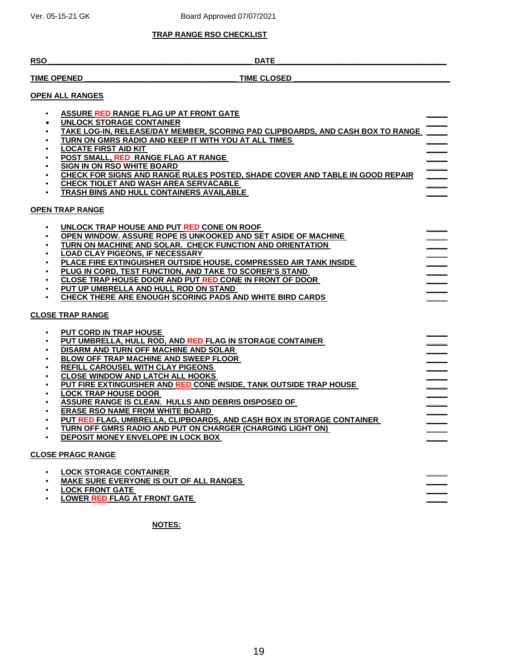#### **TRAP RANGE RSO CHECKLIST**

#### **RSO \_\_\_\_\_\_\_\_\_\_\_\_\_\_\_\_\_\_\_\_\_\_\_\_\_\_\_\_\_\_\_\_\_\_\_\_\_\_\_\_\_\_\_\_\_\_\_\_ DATE \_\_\_\_\_\_\_\_\_\_\_\_\_\_\_\_\_\_\_\_\_\_\_\_\_\_\_\_\_\_\_\_\_\_\_\_\_\_\_\_**

#### **TIME OPENED TIME CLOSED**

**\_\_\_\_\_**

**\_\_\_\_\_**

**\_\_\_\_\_**

**\_\_\_\_\_**

**\_\_\_\_\_**

**\_\_\_\_\_**

**\_\_\_\_\_**

**\_\_\_\_\_**

**\_\_\_\_\_**

**\_\_\_\_\_**

**\_\_\_\_\_**

**\_\_\_\_\_**

**\_\_\_\_\_**

**\_\_\_\_\_**

**\_\_\_\_\_**

**\_\_\_\_\_**

**\_\_\_\_\_**

**\_\_\_\_\_**

**\_\_\_\_\_**

**\_\_\_\_\_**

**\_\_\_\_\_**

**\_\_\_\_\_**

**\_\_\_\_\_**

**\_\_\_\_\_**

**\_\_\_\_\_**

**\_\_\_\_\_**

**\_\_\_\_\_**

**\_\_\_\_\_**

**\_\_\_\_\_**

#### **OPEN ALL RANGES**

- **ASSURE RED RANGE FLAG UP AT FRONT GATE**
- **UNLOCK STORAGE CONTAINER**
- **\_\_\_\_\_ TAKE LOG-IN, RELEASE/DAY MEMBER, SCORING PAD CLIPBOARDS, AND CASH BOX TO RANGE \_\_\_\_\_ \_\_\_\_\_**
- **TURN ON GMRS RADIO AND KEEP IT WITH YOU AT ALL TIMES**
- **LOCATE FIRST AID KIT**
- **POST SMALL, RED RANGE FLAG AT RANGE**
- **SIGN IN ON RSO WHITE BOARD**
- **CHECK FOR SIGNS AND RANGE RULES POSTED, SHADE COVER AND TABLE IN GOOD REPAIR**
- **CHECK TIOLET AND WASH AREA SERVACABLE**
- **TRASH BINS AND HULL CONTAINERS AVAILABLE**

#### **OPEN TRAP RANGE**

- **UNLOCK TRAP HOUSE AND PUT RED CONE ON ROOF**  • **OPEN WINDOW. ASSURE ROPE IS UNKOOKED AND SET ASIDE OF MACHINE**  • **TURN ON MACHINE AND SOLAR. CHECK FUNCTION AND ORIENTATION** 
	- **LOAD CLAY PIGEONS, IF NECESSARY**
	- **PLACE FIRE EXTINGUISHER OUTSIDE HOUSE, COMPRESSED AIR TANK INSIDE**
	- **PLUG IN CORD, TEST FUNCTION, AND TAKE TO SCORER'S STAND**
	- **CLOSE TRAP HOUSE DOOR AND PUT RED CONE IN FRONT OF DOOR**
	- **PUT UP UMBRELLA AND HULL ROD ON STAND**
	- **CHECK THERE ARE ENOUGH SCORING PADS AND WHITE BIRD CARDS**

#### **CLOSE TRAP RANGE**

- **PUT CORD IN TRAP HOUSE**
- **PUT UMBRELLA, HULL ROD, AND RED FLAG IN STORAGE CONTAINER**
- **DISARM AND TURN OFF MACHINE AND SOLAR**
- **BLOW OFF TRAP MACHINE AND SWEEP FLOOR**
- **REFILL CAROUSEL WITH CLAY PIGEONS**
- **CLOSE WINDOW AND LATCH ALL HOOKS**
- **PUT FIRE EXTINGUISHER AND RED CONE INSIDE, TANK OUTSIDE TRAP HOUSE**
- **LOCK TRAP HOUSE DOOR**
- **ASSURE RANGE IS CLEAN. HULLS AND DEBRIS DISPOSED OF**
- **ERASE RSO NAME FROM WHITE BOARD**
- **PUT RED FLAG, UMBRELLA, CLIPBOARDS, AND CASH BOX IN STORAGE CONTAINER**
- **TURN OFF GMRS RADIO AND PUT ON CHARGER (CHARGING LIGHT ON)**
- **DEPOSIT MONEY ENVELOPE IN LOCK BOX**

#### **CLOSE PRAGC RANGE**

•

- **LOCK STORAGE CONTAINER**
- **MAKE SURE EVERYONE IS OUT OF ALL RANGES**
- **LOCK FRONT GATE**
- **LOWER RED FLAG AT FRONT GATE \_\_\_\_\_**

**NOTES:**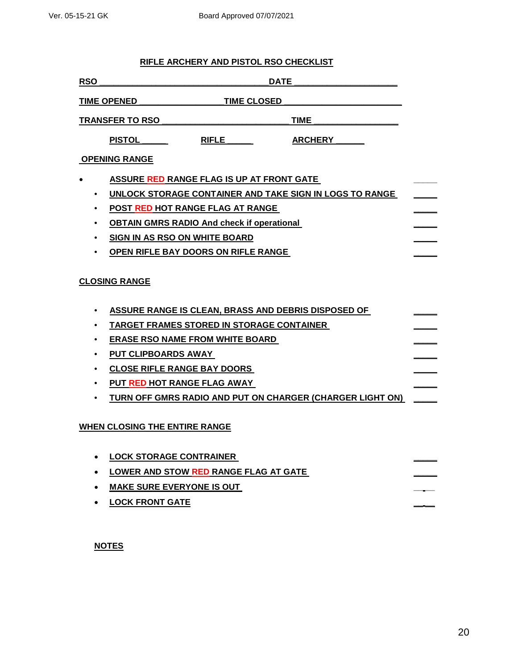#### **RIFLE ARCHERY AND PISTOL RSO CHECKLIST**

| <b>RSO</b> |                                                                                                                                                                                                                                    |                    | <b>DATE</b>                                                                                                      |  |
|------------|------------------------------------------------------------------------------------------------------------------------------------------------------------------------------------------------------------------------------------|--------------------|------------------------------------------------------------------------------------------------------------------|--|
|            | TIME OPENED ____                                                                                                                                                                                                                   | <b>TIME CLOSED</b> |                                                                                                                  |  |
|            | <b>TRANSFER TO RSO</b>                                                                                                                                                                                                             |                    | TIME                                                                                                             |  |
|            | <b>PISTOL</b>                                                                                                                                                                                                                      | <b>RIFLE</b>       | <b>ARCHERY</b>                                                                                                   |  |
|            | <b>OPENING RANGE</b>                                                                                                                                                                                                               |                    |                                                                                                                  |  |
|            | ASSURE RED RANGE FLAG IS UP AT FRONT GATE<br>POST RED HOT RANGE FLAG AT RANGE<br><b>OBTAIN GMRS RADIO And check if operational</b><br>SIGN IN AS RSO ON WHITE BOARD<br>OPEN RIFLE BAY DOORS ON RIFLE RANGE<br><b>CLOSING RANGE</b> |                    | UNLOCK STORAGE CONTAINER AND TAKE SIGN IN LOGS TO RANGE                                                          |  |
|            | TARGET FRAMES STORED IN STORAGE CONTAINER<br><b>ERASE RSO NAME FROM WHITE BOARD</b><br>PUT CLIPBOARDS AWAY<br><b>CLOSE RIFLE RANGE BAY DOORS</b><br>PUT RED HOT RANGE FLAG AWAY<br><b>WHEN CLOSING THE ENTIRE RANGE</b>            |                    | ASSURE RANGE IS CLEAN, BRASS AND DEBRIS DISPOSED OF<br>TURN OFF GMRS RADIO AND PUT ON CHARGER (CHARGER LIGHT ON) |  |
|            | <b>LOCK STORAGE CONTRAINER</b><br>LOWER AND STOW RED RANGE FLAG AT GATE<br><b>MAKE SURE EVERYONE IS OUT</b><br><b>LOCK FRONT GATE</b>                                                                                              |                    |                                                                                                                  |  |

**NOTES**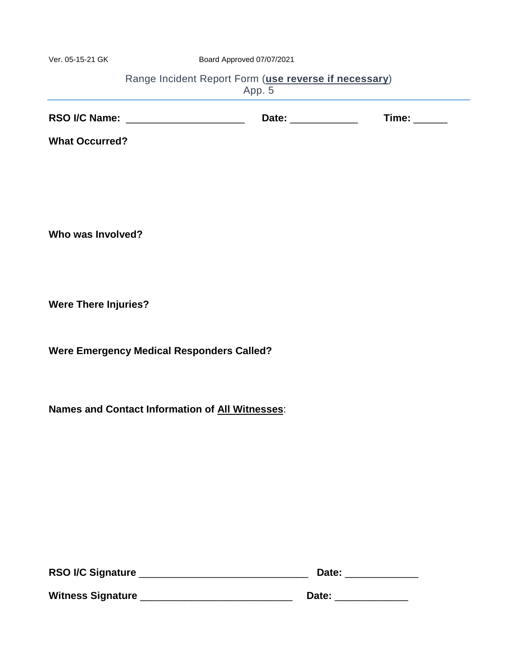Ver. 05-15-21 GK Board Approved 07/07/2021

| Range Incident Report Form (use reverse if necessary) |  |
|-------------------------------------------------------|--|
| App. 5                                                |  |

| <b>RSO I/C Name:</b> | Date: | īme: |
|----------------------|-------|------|
|----------------------|-------|------|

**What Occurred?**

**Who was Involved?** 

**Were There Injuries?** 

**Were Emergency Medical Responders Called?**

**Names and Contact Information of All Witnesses**:

| <b>RSO I/C Signature</b> | Date: |  |
|--------------------------|-------|--|
| <b>Witness Signature</b> | Date: |  |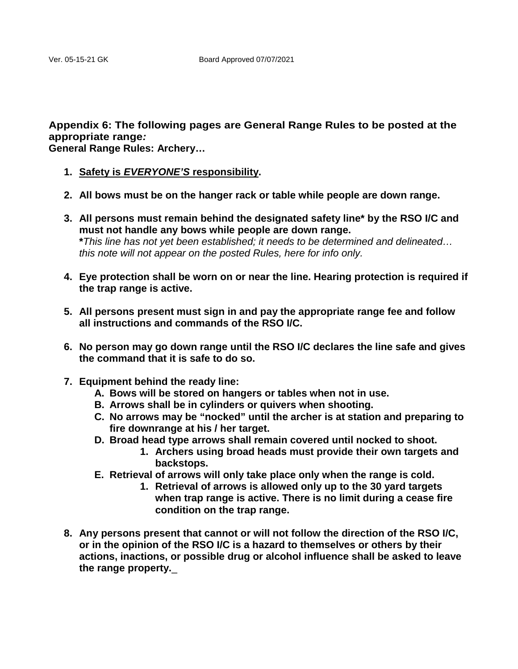# **Appendix 6: The following pages are General Range Rules to be posted at the appropriate range***:*

**General Range Rules: Archery…**

- **1. Safety is** *EVERYONE'S* **responsibility.**
- **2. All bows must be on the hanger rack or table while people are down range.**
- **3. All persons must remain behind the designated safety line\* by the RSO I/C and must not handle any bows while people are down range. \****This line has not yet been established; it needs to be determined and delineated… this note will not appear on the posted Rules, here for info only.*
- **4. Eye protection shall be worn on or near the line. Hearing protection is required if the trap range is active.**
- **5. All persons present must sign in and pay the appropriate range fee and follow all instructions and commands of the RSO I/C.**
- **6. No person may go down range until the RSO I/C declares the line safe and gives the command that it is safe to do so.**
- **7. Equipment behind the ready line:**
	- **A. Bows will be stored on hangers or tables when not in use.**
	- **B. Arrows shall be in cylinders or quivers when shooting.**
	- **C. No arrows may be "nocked" until the archer is at station and preparing to fire downrange at his / her target.**
	- **D. Broad head type arrows shall remain covered until nocked to shoot.**
		- **1. Archers using broad heads must provide their own targets and backstops.**
	- **E. Retrieval of arrows will only take place only when the range is cold.**
		- **1. Retrieval of arrows is allowed only up to the 30 yard targets when trap range is active. There is no limit during a cease fire condition on the trap range.**
- **8. Any persons present that cannot or will not follow the direction of the RSO I/C, or in the opinion of the RSO I/C is a hazard to themselves or others by their actions, inactions, or possible drug or alcohol influence shall be asked to leave the range property.**\_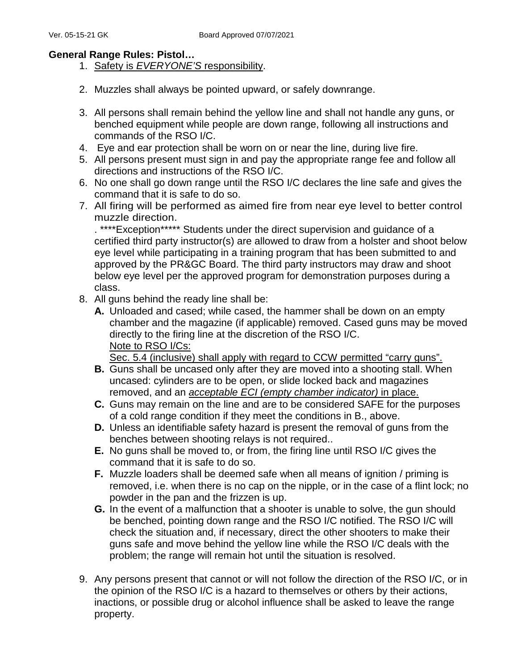#### **General Range Rules: Pistol…**

- 1. Safety is *EVERYONE'S* responsibility.
- 2. Muzzles shall always be pointed upward, or safely downrange.
- 3. All persons shall remain behind the yellow line and shall not handle any guns, or benched equipment while people are down range, following all instructions and commands of the RSO I/C.
- 4. Eye and ear protection shall be worn on or near the line, during live fire.
- 5. All persons present must sign in and pay the appropriate range fee and follow all directions and instructions of the RSO I/C.
- 6. No one shall go down range until the RSO I/C declares the line safe and gives the command that it is safe to do so.
- 7. All firing will be performed as aimed fire from near eye level to better control muzzle direction.

. \*\*\*\*Exception\*\*\*\*\* Students under the direct supervision and guidance of a certified third party instructor(s) are allowed to draw from a holster and shoot below eye level while participating in a training program that has been submitted to and approved by the PR&GC Board. The third party instructors may draw and shoot below eye level per the approved program for demonstration purposes during a class.

- 8. All guns behind the ready line shall be:
	- **A.** Unloaded and cased; while cased, the hammer shall be down on an empty chamber and the magazine (if applicable) removed. Cased guns may be moved directly to the firing line at the discretion of the RSO I/C. Note to RSO I/Cs:

Sec. 5.4 (inclusive) shall apply with regard to CCW permitted "carry guns".

- **B.** Guns shall be uncased only after they are moved into a shooting stall. When uncased: cylinders are to be open, or slide locked back and magazines removed, and an *acceptable ECI (empty chamber indicator)* in place.
- **C.** Guns may remain on the line and are to be considered SAFE for the purposes of a cold range condition if they meet the conditions in B., above.
- **D.** Unless an identifiable safety hazard is present the removal of guns from the benches between shooting relays is not required..
- **E.** No guns shall be moved to, or from, the firing line until RSO I/C gives the command that it is safe to do so.
- **F.** Muzzle loaders shall be deemed safe when all means of ignition / priming is removed, i.e. when there is no cap on the nipple, or in the case of a flint lock; no powder in the pan and the frizzen is up.
- **G.** In the event of a malfunction that a shooter is unable to solve, the gun should be benched, pointing down range and the RSO I/C notified. The RSO I/C will check the situation and, if necessary, direct the other shooters to make their guns safe and move behind the yellow line while the RSO I/C deals with the problem; the range will remain hot until the situation is resolved.
- 9. Any persons present that cannot or will not follow the direction of the RSO I/C, or in the opinion of the RSO I/C is a hazard to themselves or others by their actions, inactions, or possible drug or alcohol influence shall be asked to leave the range property.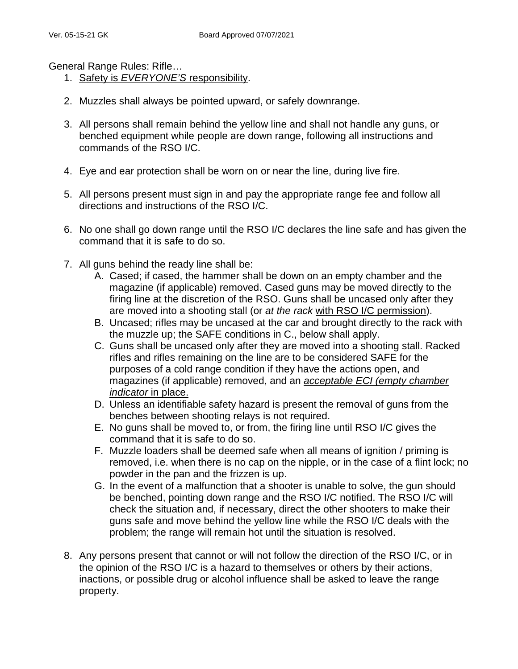General Range Rules: Rifle…

- 1. Safety is *EVERYONE'S* responsibility.
- 2. Muzzles shall always be pointed upward, or safely downrange.
- 3. All persons shall remain behind the yellow line and shall not handle any guns, or benched equipment while people are down range, following all instructions and commands of the RSO I/C.
- 4. Eye and ear protection shall be worn on or near the line, during live fire.
- 5. All persons present must sign in and pay the appropriate range fee and follow all directions and instructions of the RSO I/C.
- 6. No one shall go down range until the RSO I/C declares the line safe and has given the command that it is safe to do so.
- 7. All guns behind the ready line shall be:
	- A. Cased; if cased, the hammer shall be down on an empty chamber and the magazine (if applicable) removed. Cased guns may be moved directly to the firing line at the discretion of the RSO. Guns shall be uncased only after they are moved into a shooting stall (or *at the rack* with RSO I/C permission).
	- B. Uncased; rifles may be uncased at the car and brought directly to the rack with the muzzle up; the SAFE conditions in C., below shall apply.
	- C. Guns shall be uncased only after they are moved into a shooting stall. Racked rifles and rifles remaining on the line are to be considered SAFE for the purposes of a cold range condition if they have the actions open, and magazines (if applicable) removed, and an *acceptable ECI (empty chamber indicator* in place.
	- D. Unless an identifiable safety hazard is present the removal of guns from the benches between shooting relays is not required.
	- E. No guns shall be moved to, or from, the firing line until RSO I/C gives the command that it is safe to do so.
	- F. Muzzle loaders shall be deemed safe when all means of ignition / priming is removed, i.e. when there is no cap on the nipple, or in the case of a flint lock; no powder in the pan and the frizzen is up.
	- G. In the event of a malfunction that a shooter is unable to solve, the gun should be benched, pointing down range and the RSO I/C notified. The RSO I/C will check the situation and, if necessary, direct the other shooters to make their guns safe and move behind the yellow line while the RSO I/C deals with the problem; the range will remain hot until the situation is resolved.
- 8. Any persons present that cannot or will not follow the direction of the RSO I/C, or in the opinion of the RSO I/C is a hazard to themselves or others by their actions, inactions, or possible drug or alcohol influence shall be asked to leave the range property.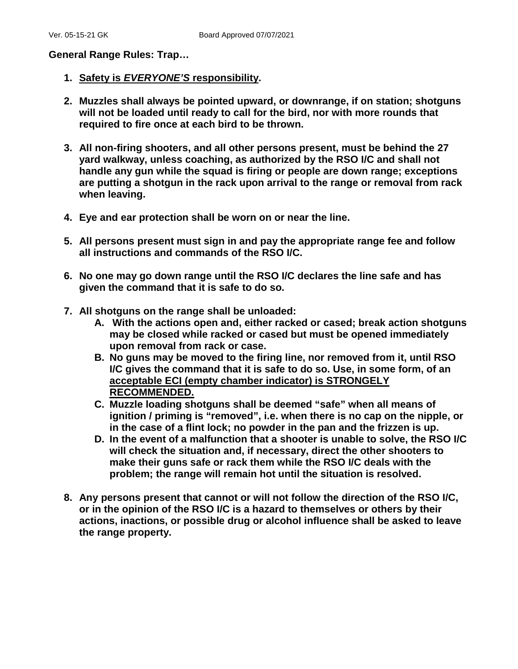**General Range Rules: Trap…**

- **1. Safety is** *EVERYONE'S* **responsibility.**
- **2. Muzzles shall always be pointed upward, or downrange, if on station; shotguns will not be loaded until ready to call for the bird, nor with more rounds that required to fire once at each bird to be thrown.**
- **3. All non-firing shooters, and all other persons present, must be behind the 27 yard walkway, unless coaching, as authorized by the RSO I/C and shall not handle any gun while the squad is firing or people are down range; exceptions are putting a shotgun in the rack upon arrival to the range or removal from rack when leaving.**
- **4. Eye and ear protection shall be worn on or near the line.**
- **5. All persons present must sign in and pay the appropriate range fee and follow all instructions and commands of the RSO I/C.**
- **6. No one may go down range until the RSO I/C declares the line safe and has given the command that it is safe to do so.**
- **7. All shotguns on the range shall be unloaded:**
	- **A. With the actions open and, either racked or cased; break action shotguns may be closed while racked or cased but must be opened immediately upon removal from rack or case.**
	- **B. No guns may be moved to the firing line, nor removed from it, until RSO I/C gives the command that it is safe to do so. Use, in some form, of an acceptable ECI (empty chamber indicator) is STRONGELY RECOMMENDED.**
	- **C. Muzzle loading shotguns shall be deemed "safe" when all means of ignition / priming is "removed", i.e. when there is no cap on the nipple, or in the case of a flint lock; no powder in the pan and the frizzen is up.**
	- **D. In the event of a malfunction that a shooter is unable to solve, the RSO I/C will check the situation and, if necessary, direct the other shooters to make their guns safe or rack them while the RSO I/C deals with the problem; the range will remain hot until the situation is resolved.**
- **8. Any persons present that cannot or will not follow the direction of the RSO I/C, or in the opinion of the RSO I/C is a hazard to themselves or others by their actions, inactions, or possible drug or alcohol influence shall be asked to leave the range property.**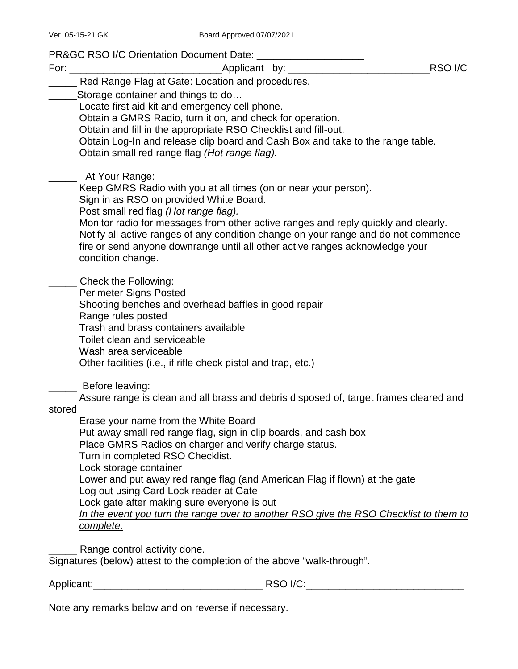PR&GC RSO I/C Orientation Document Date: \_\_\_\_\_\_\_\_\_\_\_\_\_\_\_\_\_\_\_

| For: $\_\_$ | RSO <sub>I/C</sub><br>Applicant by: ______                                            |  |
|-------------|---------------------------------------------------------------------------------------|--|
|             | Red Range Flag at Gate: Location and procedures.                                      |  |
|             | Storage container and things to do                                                    |  |
|             | Locate first aid kit and emergency cell phone.                                        |  |
|             | Obtain a GMRS Radio, turn it on, and check for operation.                             |  |
|             | Obtain and fill in the appropriate RSO Checklist and fill-out.                        |  |
|             | Obtain Log-In and release clip board and Cash Box and take to the range table.        |  |
|             | Obtain small red range flag (Hot range flag).                                         |  |
|             | At Your Range:                                                                        |  |
|             | Keep GMRS Radio with you at all times (on or near your person).                       |  |
|             | Sign in as RSO on provided White Board.                                               |  |
|             | Post small red flag (Hot range flag).                                                 |  |
|             | Monitor radio for messages from other active ranges and reply quickly and clearly.    |  |
|             | Notify all active ranges of any condition change on your range and do not commence    |  |
|             | fire or send anyone downrange until all other active ranges acknowledge your          |  |
|             | condition change.                                                                     |  |
|             | Check the Following:                                                                  |  |
|             | <b>Perimeter Signs Posted</b>                                                         |  |
|             | Shooting benches and overhead baffles in good repair                                  |  |
|             | Range rules posted                                                                    |  |
|             | Trash and brass containers available<br>Toilet clean and serviceable                  |  |
|             | Wash area serviceable                                                                 |  |
|             | Other facilities (i.e., if rifle check pistol and trap, etc.)                         |  |
|             |                                                                                       |  |
|             | Before leaving:                                                                       |  |
| stored      | Assure range is clean and all brass and debris disposed of, target frames cleared and |  |
|             | Erase your name from the White Board                                                  |  |
|             | Put away small red range flag, sign in clip boards, and cash box                      |  |
|             | Place GMRS Radios on charger and verify charge status.                                |  |
|             | Turn in completed RSO Checklist.                                                      |  |
|             | Lock storage container                                                                |  |
|             | Lower and put away red range flag (and American Flag if flown) at the gate            |  |
|             | Log out using Card Lock reader at Gate                                                |  |
|             | Lock gate after making sure everyone is out                                           |  |
|             | In the event you turn the range over to another RSO give the RSO Checklist to them to |  |
|             | complete.                                                                             |  |
|             | Range control activity done.                                                          |  |

Signatures (below) attest to the completion of the above "walk-through".

Applicant:\_\_\_\_\_\_\_\_\_\_\_\_\_\_\_\_\_\_\_\_\_\_\_\_\_\_\_\_\_\_ RSO I/C:\_\_\_\_\_\_\_\_\_\_\_\_\_\_\_\_\_\_\_\_\_\_\_\_\_\_\_\_

Note any remarks below and on reverse if necessary.